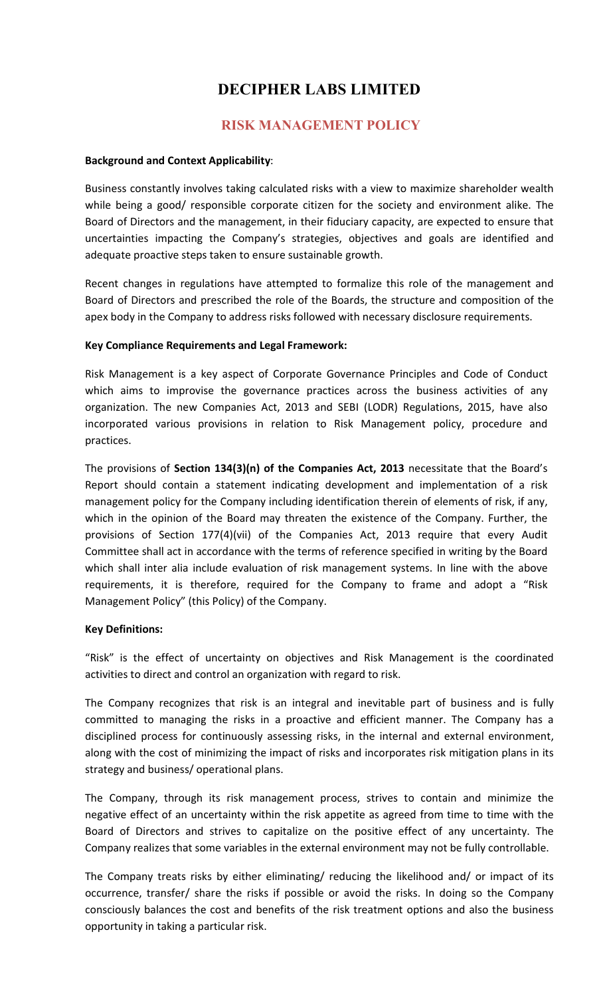# DECIPHER LABS LIMITED

## RISK MANAGEMENT POLICY

#### Background and Context Applicability:

Business constantly involves taking calculated risks with a view to maximize shareholder wealth while being a good/ responsible corporate citizen for the society and environment alike. The Board of Directors and the management, in their fiduciary capacity, are expected to ensure that uncertainties impacting the Company's strategies, objectives and goals are identified and adequate proactive steps taken to ensure sustainable growth.

Recent changes in regulations have attempted to formalize this role of the management and Board of Directors and prescribed the role of the Boards, the structure and composition of the apex body in the Company to address risks followed with necessary disclosure requirements.

#### Key Compliance Requirements and Legal Framework:

Risk Management is a key aspect of Corporate Governance Principles and Code of Conduct which aims to improvise the governance practices across the business activities of any organization. The new Companies Act, 2013 and SEBI (LODR) Regulations, 2015, have also incorporated various provisions in relation to Risk Management policy, procedure and practices.

The provisions of Section 134(3)(n) of the Companies Act, 2013 necessitate that the Board's Report should contain a statement indicating development and implementation of a risk management policy for the Company including identification therein of elements of risk, if any, which in the opinion of the Board may threaten the existence of the Company. Further, the provisions of Section 177(4)(vii) of the Companies Act, 2013 require that every Audit Committee shall act in accordance with the terms of reference specified in writing by the Board which shall inter alia include evaluation of risk management systems. In line with the above requirements, it is therefore, required for the Company to frame and adopt a "Risk Management Policy" (this Policy) of the Company.

#### Key Definitions:

"Risk" is the effect of uncertainty on objectives and Risk Management is the coordinated activities to direct and control an organization with regard to risk.

The Company recognizes that risk is an integral and inevitable part of business and is fully committed to managing the risks in a proactive and efficient manner. The Company has a disciplined process for continuously assessing risks, in the internal and external environment, along with the cost of minimizing the impact of risks and incorporates risk mitigation plans in its strategy and business/ operational plans.

The Company, through its risk management process, strives to contain and minimize the negative effect of an uncertainty within the risk appetite as agreed from time to time with the Board of Directors and strives to capitalize on the positive effect of any uncertainty. The Company realizes that some variables in the external environment may not be fully controllable.

The Company treats risks by either eliminating/ reducing the likelihood and/ or impact of its occurrence, transfer/ share the risks if possible or avoid the risks. In doing so the Company consciously balances the cost and benefits of the risk treatment options and also the business opportunity in taking a particular risk.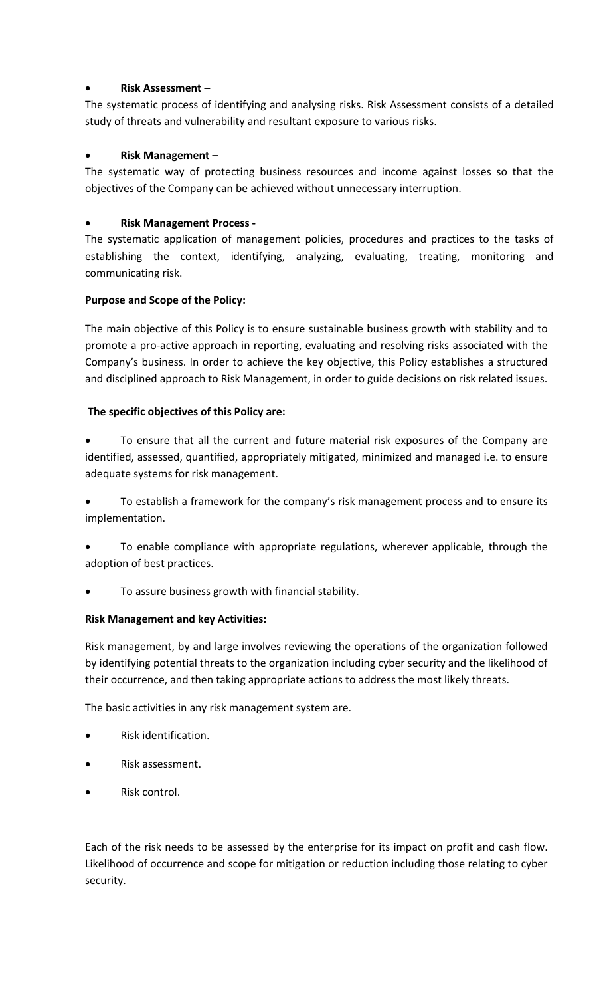## Risk Assessment –

The systematic process of identifying and analysing risks. Risk Assessment consists of a detailed study of threats and vulnerability and resultant exposure to various risks.

## Risk Management –

The systematic way of protecting business resources and income against losses so that the objectives of the Company can be achieved without unnecessary interruption.

## Risk Management Process -

The systematic application of management policies, procedures and practices to the tasks of establishing the context, identifying, analyzing, evaluating, treating, monitoring and communicating risk.

### Purpose and Scope of the Policy:

The main objective of this Policy is to ensure sustainable business growth with stability and to promote a pro-active approach in reporting, evaluating and resolving risks associated with the Company's business. In order to achieve the key objective, this Policy establishes a structured and disciplined approach to Risk Management, in order to guide decisions on risk related issues.

## The specific objectives of this Policy are:

 To ensure that all the current and future material risk exposures of the Company are identified, assessed, quantified, appropriately mitigated, minimized and managed i.e. to ensure adequate systems for risk management.

 To establish a framework for the company's risk management process and to ensure its implementation.

 To enable compliance with appropriate regulations, wherever applicable, through the adoption of best practices.

To assure business growth with financial stability.

### Risk Management and key Activities:

Risk management, by and large involves reviewing the operations of the organization followed by identifying potential threats to the organization including cyber security and the likelihood of their occurrence, and then taking appropriate actions to address the most likely threats.

The basic activities in any risk management system are.

- Risk identification.
- Risk assessment.
- Risk control.

Each of the risk needs to be assessed by the enterprise for its impact on profit and cash flow. Likelihood of occurrence and scope for mitigation or reduction including those relating to cyber security.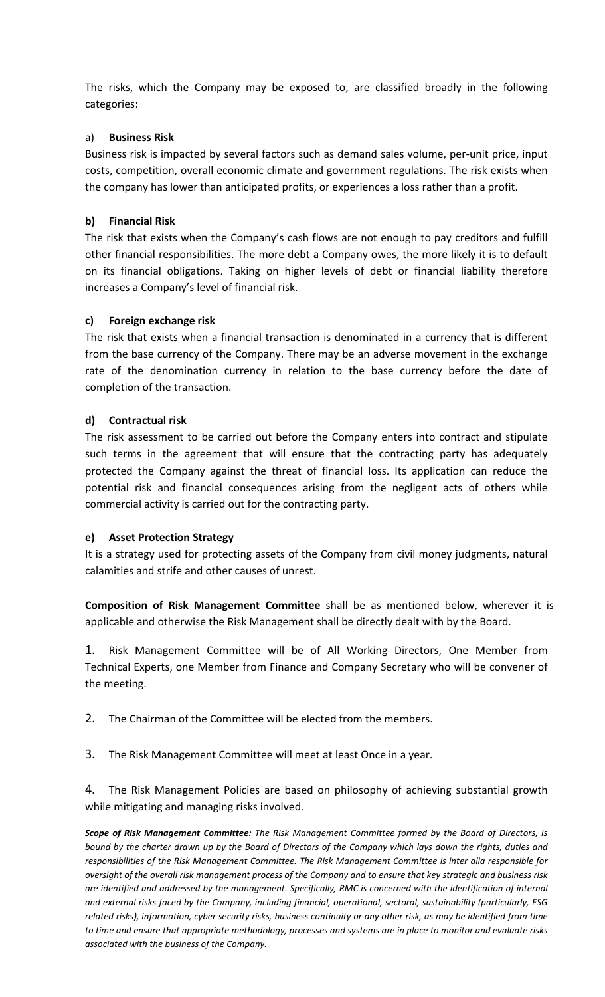The risks, which the Company may be exposed to, are classified broadly in the following categories:

#### a) Business Risk

Business risk is impacted by several factors such as demand sales volume, per-unit price, input costs, competition, overall economic climate and government regulations. The risk exists when the company has lower than anticipated profits, or experiences a loss rather than a profit.

#### b) Financial Risk

The risk that exists when the Company's cash flows are not enough to pay creditors and fulfill other financial responsibilities. The more debt a Company owes, the more likely it is to default on its financial obligations. Taking on higher levels of debt or financial liability therefore increases a Company's level of financial risk.

#### c) Foreign exchange risk

The risk that exists when a financial transaction is denominated in a currency that is different from the base currency of the Company. There may be an adverse movement in the exchange rate of the denomination currency in relation to the base currency before the date of completion of the transaction.

#### d) Contractual risk

The risk assessment to be carried out before the Company enters into contract and stipulate such terms in the agreement that will ensure that the contracting party has adequately protected the Company against the threat of financial loss. Its application can reduce the potential risk and financial consequences arising from the negligent acts of others while commercial activity is carried out for the contracting party.

#### e) Asset Protection Strategy

It is a strategy used for protecting assets of the Company from civil money judgments, natural calamities and strife and other causes of unrest.

Composition of Risk Management Committee shall be as mentioned below, wherever it is applicable and otherwise the Risk Management shall be directly dealt with by the Board.

1. Risk Management Committee will be of All Working Directors, One Member from Technical Experts, one Member from Finance and Company Secretary who will be convener of the meeting.

2. The Chairman of the Committee will be elected from the members.

3. The Risk Management Committee will meet at least Once in a year.

4. The Risk Management Policies are based on philosophy of achieving substantial growth while mitigating and managing risks involved.

Scope of Risk Management Committee: The Risk Management Committee formed by the Board of Directors, is bound by the charter drawn up by the Board of Directors of the Company which lays down the rights, duties and responsibilities of the Risk Management Committee. The Risk Management Committee is inter alia responsible for oversight of the overall risk management process of the Company and to ensure that key strategic and business risk are identified and addressed by the management. Specifically, RMC is concerned with the identification of internal and external risks faced by the Company, including financial, operational, sectoral, sustainability (particularly, ESG related risks), information, cyber security risks, business continuity or any other risk, as may be identified from time to time and ensure that appropriate methodology, processes and systems are in place to monitor and evaluate risks associated with the business of the Company.